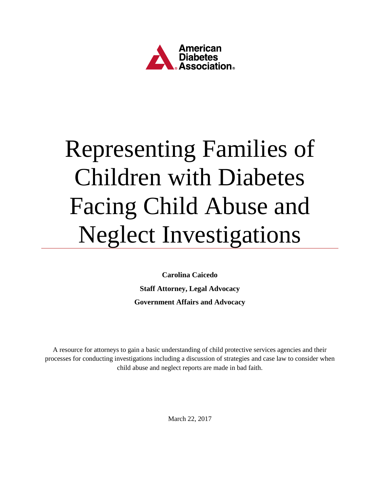

# Representing Families of Children with Diabetes Facing Child Abuse and Neglect Investigations

**Carolina Caicedo Staff Attorney, Legal Advocacy Government Affairs and Advocacy**

A resource for attorneys to gain a basic understanding of child protective services agencies and their processes for conducting investigations including a discussion of strategies and case law to consider when child abuse and neglect reports are made in bad faith.

March 22, 2017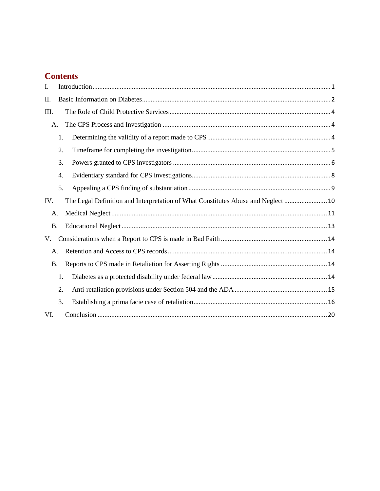# **Contents**

| I.        |    |                                                                                   |
|-----------|----|-----------------------------------------------------------------------------------|
| П.        |    |                                                                                   |
| III.      |    |                                                                                   |
| A.        |    |                                                                                   |
|           | 1. |                                                                                   |
|           | 2. |                                                                                   |
|           | 3. |                                                                                   |
|           | 4. |                                                                                   |
|           | 5. |                                                                                   |
| IV.       |    | The Legal Definition and Interpretation of What Constitutes Abuse and Neglect  10 |
| A.        |    |                                                                                   |
| <b>B.</b> |    |                                                                                   |
| V.        |    |                                                                                   |
| A.        |    |                                                                                   |
| <b>B.</b> |    |                                                                                   |
|           | 1. |                                                                                   |
|           | 2. |                                                                                   |
|           | 3. |                                                                                   |
| VI.       |    |                                                                                   |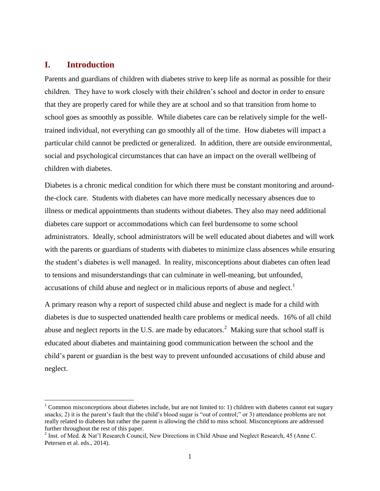### <span id="page-2-0"></span>**I. Introduction**

l

Parents and guardians of children with diabetes strive to keep life as normal as possible for their children. They have to work closely with their children's school and doctor in order to ensure that they are properly cared for while they are at school and so that transition from home to school goes as smoothly as possible. While diabetes care can be relatively simple for the welltrained individual, not everything can go smoothly all of the time. How diabetes will impact a particular child cannot be predicted or generalized. In addition, there are outside environmental, social and psychological circumstances that can have an impact on the overall wellbeing of children with diabetes.

Diabetes is a chronic medical condition for which there must be constant monitoring and aroundthe-clock care. Students with diabetes can have more medically necessary absences due to illness or medical appointments than students without diabetes. They also may need additional diabetes care support or accommodations which can feel burdensome to some school administrators. Ideally, school administrators will be well educated about diabetes and will work with the parents or guardians of students with diabetes to minimize class absences while ensuring the student's diabetes is well managed. In reality, misconceptions about diabetes can often lead to tensions and misunderstandings that can culminate in well-meaning, but unfounded, accusations of child abuse and neglect or in malicious reports of abuse and neglect.<sup>1</sup>

A primary reason why a report of suspected child abuse and neglect is made for a child with diabetes is due to suspected unattended health care problems or medical needs. 16% of all child abuse and neglect reports in the U.S. are made by educators.<sup>2</sup> Making sure that school staff is educated about diabetes and maintaining good communication between the school and the child's parent or guardian is the best way to prevent unfounded accusations of child abuse and neglect.

<sup>&</sup>lt;sup>1</sup> Common misconceptions about diabetes include, but are not limited to: 1) children with diabetes cannot eat sugary snacks; 2) it is the parent's fault that the child's blood sugar is "out of control;" or 3) attendance problems are not really related to diabetes but rather the parent is allowing the child to miss school. Misconceptions are addressed further throughout the rest of this paper.

<sup>&</sup>lt;sup>2</sup> Inst. of Med. & Nat'l Research Council, New Directions in Child Abuse and Neglect Research, 45 (Anne C. Petersen et al. eds., 2014).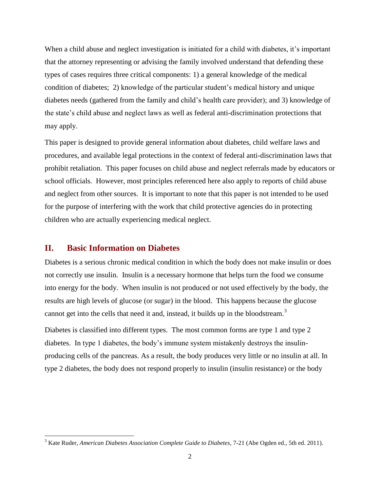When a child abuse and neglect investigation is initiated for a child with diabetes, it's important that the attorney representing or advising the family involved understand that defending these types of cases requires three critical components: 1) a general knowledge of the medical condition of diabetes; 2) knowledge of the particular student's medical history and unique diabetes needs (gathered from the family and child's health care provider); and 3) knowledge of the state's child abuse and neglect laws as well as federal anti-discrimination protections that may apply.

This paper is designed to provide general information about diabetes, child welfare laws and procedures, and available legal protections in the context of federal anti-discrimination laws that prohibit retaliation. This paper focuses on child abuse and neglect referrals made by educators or school officials. However, most principles referenced here also apply to reports of child abuse and neglect from other sources. It is important to note that this paper is not intended to be used for the purpose of interfering with the work that child protective agencies do in protecting children who are actually experiencing medical neglect.

#### <span id="page-3-0"></span>**II. Basic Information on Diabetes**

 $\overline{\phantom{a}}$ 

Diabetes is a serious chronic medical condition in which the body does not make insulin or does not correctly use insulin. Insulin is a necessary hormone that helps turn the food we consume into energy for the body. When insulin is not produced or not used effectively by the body, the results are high levels of glucose (or sugar) in the blood. This happens because the glucose cannot get into the cells that need it and, instead, it builds up in the bloodstream.<sup>3</sup>

Diabetes is classified into different types. The most common forms are type 1 and type 2 diabetes. In type 1 diabetes, the body's immune system mistakenly destroys the insulinproducing cells of the pancreas. As a result, the body produces very little or no insulin at all. In type 2 diabetes, the body does not respond properly to insulin (insulin resistance) or the body

<sup>3</sup> Kate Ruder, *American Diabetes Association Complete Guide to Diabetes,* 7-21 (Abe Ogden ed., 5th ed. 2011).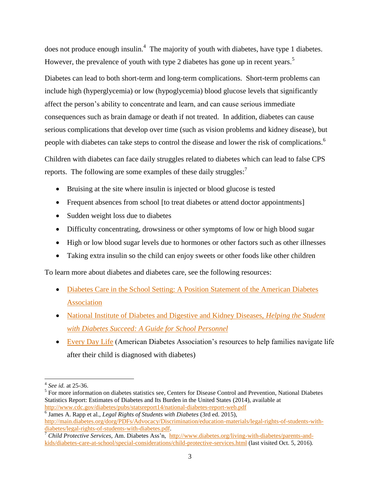does not produce enough insulin.<sup>4</sup> The majority of youth with diabetes, have type 1 diabetes. However, the prevalence of youth with type 2 diabetes has gone up in recent years.<sup>5</sup>

Diabetes can lead to both short-term and long-term complications. Short-term problems can include high (hyperglycemia) or low (hypoglycemia) blood glucose levels that significantly affect the person's ability to concentrate and learn, and can cause serious immediate consequences such as brain damage or death if not treated. In addition, diabetes can cause serious complications that develop over time (such as vision problems and kidney disease), but people with diabetes can take steps to control the disease and lower the risk of complications.<sup>6</sup>

Children with diabetes can face daily struggles related to diabetes which can lead to false CPS reports. The following are some examples of these daily struggles:<sup>7</sup>

- Bruising at the site where insulin is injected or blood glucose is tested
- Frequent absences from school [to treat diabetes or attend doctor appointments]
- Sudden weight loss due to diabetes
- Difficulty concentrating, drowsiness or other symptoms of low or high blood sugar
- High or low blood sugar levels due to hormones or other factors such as other illnesses
- Taking extra insulin so the child can enjoy sweets or other foods like other children

To learn more about diabetes and diabetes care, see the following resources:

- Diabetes Care in the School Setting: A Position Statement of the American Diabetes [Association](http://care.diabetesjournals.org/content/38/10/1958)
- [National Institute of Diabetes and Digestive and Kidney Diseases,](https://www.niddk.nih.gov/health-information/health-communication-programs/ndep/health-care-professionals/school-guide/Pages/publicationdetail.aspx) *Helping the Student [with Diabetes Succeed: A Guide for School Personnel](https://www.niddk.nih.gov/health-information/health-communication-programs/ndep/health-care-professionals/school-guide/Pages/publicationdetail.aspx)*
- [Every Day Life](http://www.diabetes.org/living-with-diabetes/parents-and-kids/everyday-life/) (American Diabetes Association's resources to help families navigate life after their child is diagnosed with diabetes)

<sup>4</sup> *See id.* at 25-36.

<sup>&</sup>lt;sup>5</sup> For more information on diabetes statistics see, Centers for Disease Control and Prevention, National Diabetes Statistics Report: Estimates of Diabetes and Its Burden in the United States (2014), available at <http://www.cdc.gov/diabetes/pubs/statsreport14/national-diabetes-report-web.pdf>

<sup>6</sup> James A. Rapp et al., *Legal Rights of Students with Diabetes* (3rd ed. 2015), [http://main.diabetes.org/dorg/PDFs/Advocacy/Discrimination/education-materials/legal-rights-of-students-with](http://main.diabetes.org/dorg/PDFs/Advocacy/Discrimination/education-materials/legal-rights-of-students-with-diabetes/legal-rights-of-students-with-diabetes.pdf)[diabetes/legal-rights-of-students-with-diabetes.pdf.](http://main.diabetes.org/dorg/PDFs/Advocacy/Discrimination/education-materials/legal-rights-of-students-with-diabetes/legal-rights-of-students-with-diabetes.pdf)

<sup>7</sup> *Child Protective Services,* Am. Diabetes Ass'n, [http://www.diabetes.org/living-with-diabetes/parents-and](http://www.diabetes.org/living-with-diabetes/parents-and-kids/diabetes-care-at-school/special-considerations/child-protective-services.html)[kids/diabetes-care-at-school/special-considerations/child-protective-services.html](http://www.diabetes.org/living-with-diabetes/parents-and-kids/diabetes-care-at-school/special-considerations/child-protective-services.html) (last visited Oct. 5, 2016).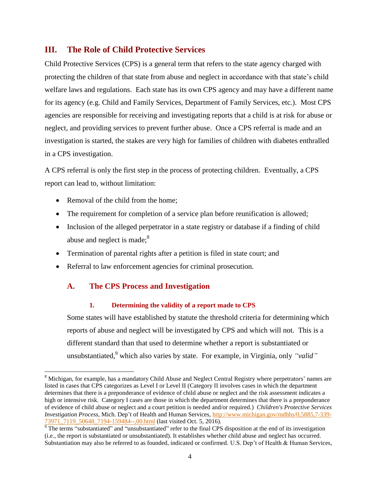# <span id="page-5-0"></span>**III. The Role of Child Protective Services**

Child Protective Services (CPS) is a general term that refers to the state agency charged with protecting the children of that state from abuse and neglect in accordance with that state's child welfare laws and regulations. Each state has its own CPS agency and may have a different name for its agency (e.g. Child and Family Services, Department of Family Services, etc.). Most CPS agencies are responsible for receiving and investigating reports that a child is at risk for abuse or neglect, and providing services to prevent further abuse. Once a CPS referral is made and an investigation is started, the stakes are very high for families of children with diabetes enthralled in a CPS investigation.

A CPS referral is only the first step in the process of protecting children. Eventually, a CPS report can lead to, without limitation:

• Removal of the child from the home:

 $\overline{\phantom{a}}$ 

- The requirement for completion of a service plan before reunification is allowed;
- Inclusion of the alleged perpetrator in a state registry or database if a finding of child abuse and neglect is made;<sup>8</sup>
- Termination of parental rights after a petition is filed in state court; and
- <span id="page-5-1"></span>• Referral to law enforcement agencies for criminal prosecution.

## <span id="page-5-2"></span>**A. The CPS Process and Investigation**

#### **1. Determining the validity of a report made to CPS**

Some states will have established by statute the threshold criteria for determining which reports of abuse and neglect will be investigated by CPS and which will not. This is a different standard than that used to determine whether a report is substantiated or unsubstantiated,<sup>9</sup> which also varies by state. For example, in Virginia, only *"valid"* 

<sup>&</sup>lt;sup>8</sup> Michigan, for example, has a mandatory Child Abuse and Neglect Central Registry where perpetrators' names are listed in cases that CPS categorizes as Level I or Level II (Category II involves cases in which the department determines that there is a preponderance of evidence of child abuse or neglect and the risk assessment indicates a high or intensive risk. Category I cases are those in which the department determines that there is a preponderance of evidence of child abuse or neglect and a court petition is needed and/or required.) *Children's Protective Services Investigation Process,* Mich. Dep't of Health and Human Services, [http://www.michigan.gov/mdhhs/0,5885,7-339-](http://www.michigan.gov/mdhhs/0,5885,7-339-73971_7119_50648_7194-159484--,00.html) [73971\\_7119\\_50648\\_7194-159484--,00.html](http://www.michigan.gov/mdhhs/0,5885,7-339-73971_7119_50648_7194-159484--,00.html) (last visited Oct. 5, 2016).

 $\frac{13971}{9}$  The terms "substantiated" and "unsubstantiated" refer to the final CPS disposition at the end of its investigation (i.e., the report is substantiated or unsubstantiated). It establishes whether child abuse and neglect has occurred. Substantiation may also be referred to as founded, indicated or confirmed. U.S. Dep't of Health & Human Services,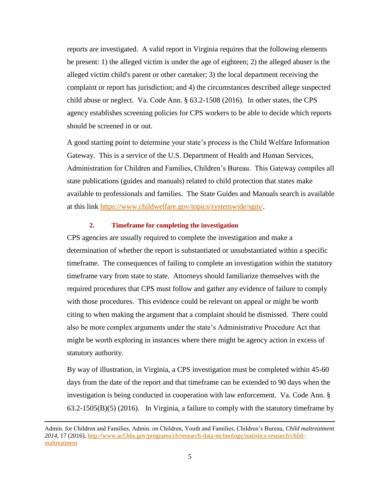reports are investigated. A valid report in Virginia requires that the following elements be present: 1) the alleged victim is under the age of eighteen; 2) the alleged abuser is the alleged victim child's parent or other caretaker; 3) the local department receiving the complaint or report has jurisdiction; and 4) the circumstances described allege suspected child abuse or neglect. Va. Code Ann. § 63.2-1508 (2016). In other states, the CPS agency establishes screening policies for CPS workers to be able to decide which reports should be screened in or out.

A good starting point to determine your state's process is the Child Welfare Information Gateway. This is a service of the U.S. Department of Health and Human Services, Administration for Children and Families, Children's Bureau. This Gateway compiles all state publications (guides and manuals) related to child protection that states make available to professionals and families. The State Guides and Manuals search is available at this link [https://www.childwelfare.gov/topics/systemwide/sgm/.](https://www.childwelfare.gov/topics/systemwide/sgm/)

#### **2. Timeframe for completing the investigation**

<span id="page-6-0"></span>CPS agencies are usually required to complete the investigation and make a determination of whether the report is substantiated or unsubstantiated within a specific timeframe. The consequences of failing to complete an investigation within the statutory timeframe vary from state to state. Attorneys should familiarize themselves with the required procedures that CPS must follow and gather any evidence of failure to comply with those procedures. This evidence could be relevant on appeal or might be worth citing to when making the argument that a complaint should be dismissed. There could also be more complex arguments under the state's Administrative Procedure Act that might be worth exploring in instances where there might be agency action in excess of statutory authority.

By way of illustration, in Virginia, a CPS investigation must be completed within 45-60 days from the date of the report and that timeframe can be extended to 90 days when the investigation is being conducted in cooperation with law enforcement. Va. Code Ann. § 63.2-1505(B)(5) (2016). In Virginia, a failure to comply with the statutory timeframe by

Admin. for Children and Families, Admin. on Children, Youth and Families, Children's Bureau, *Child maltreatment 2014*, 17 (2016), [http://www.acf.hhs.gov/programs/cb/research-data-technology/statistics-research/child](http://www.acf.hhs.gov/programs/cb/research-data-technology/statistics-research/child-maltreatment)[maltreatment](http://www.acf.hhs.gov/programs/cb/research-data-technology/statistics-research/child-maltreatment)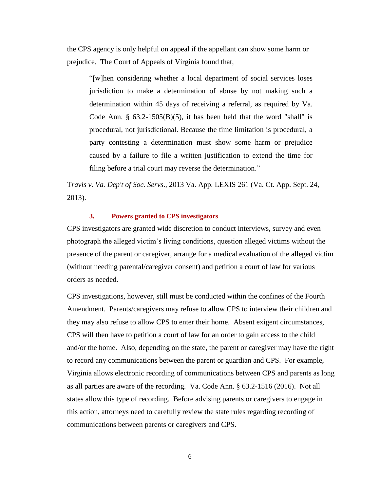the CPS agency is only helpful on appeal if the appellant can show some harm or prejudice. The Court of Appeals of Virginia found that,

"[w]hen considering whether a local department of social services loses jurisdiction to make a determination of abuse by not making such a determination within 45 days of receiving a referral, as required by Va. Code Ann.  $\S$  63.2-1505(B)(5), it has been held that the word "shall" is procedural, not jurisdictional. Because the time limitation is procedural, a party contesting a determination must show some harm or prejudice caused by a failure to file a written justification to extend the time for filing before a trial court may reverse the determination."

T*ravis v. Va. Dep't of Soc. Servs*., 2013 Va. App. LEXIS 261 (Va. Ct. App. Sept. 24, 2013).

#### **3. Powers granted to CPS investigators**

<span id="page-7-0"></span>CPS investigators are granted wide discretion to conduct interviews, survey and even photograph the alleged victim's living conditions, question alleged victims without the presence of the parent or caregiver, arrange for a medical evaluation of the alleged victim (without needing parental/caregiver consent) and petition a court of law for various orders as needed.

CPS investigations, however, still must be conducted within the confines of the Fourth Amendment. Parents/caregivers may refuse to allow CPS to interview their children and they may also refuse to allow CPS to enter their home. Absent exigent circumstances, CPS will then have to petition a court of law for an order to gain access to the child and/or the home. Also, depending on the state, the parent or caregiver may have the right to record any communications between the parent or guardian and CPS. For example, Virginia allows electronic recording of communications between CPS and parents as long as all parties are aware of the recording. Va. Code Ann. § 63.2-1516 (2016). Not all states allow this type of recording. Before advising parents or caregivers to engage in this action, attorneys need to carefully review the state rules regarding recording of communications between parents or caregivers and CPS.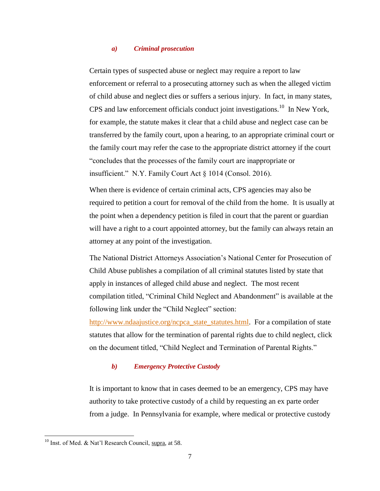#### *a) Criminal prosecution*

Certain types of suspected abuse or neglect may require a report to law enforcement or referral to a prosecuting attorney such as when the alleged victim of child abuse and neglect dies or suffers a serious injury. In fact, in many states, CPS and law enforcement officials conduct joint investigations.<sup>10</sup> In New York, for example, the statute makes it clear that a child abuse and neglect case can be transferred by the family court, upon a hearing, to an appropriate criminal court or the family court may refer the case to the appropriate district attorney if the court "concludes that the processes of the family court are inappropriate or insufficient." N.Y. Family Court Act § 1014 (Consol. 2016).

When there is evidence of certain criminal acts, CPS agencies may also be required to petition a court for removal of the child from the home. It is usually at the point when a dependency petition is filed in court that the parent or guardian will have a right to a court appointed attorney, but the family can always retain an attorney at any point of the investigation.

The National District Attorneys Association's National Center for Prosecution of Child Abuse publishes a compilation of all criminal statutes listed by state that apply in instances of alleged child abuse and neglect. The most recent compilation titled, "Criminal Child Neglect and Abandonment" is available at the following link under the "Child Neglect" section:

[http://www.ndaajustice.org/ncpca\\_state\\_statutes.html.](http://www.ndaajustice.org/ncpca_state_statutes.html) For a compilation of state statutes that allow for the termination of parental rights due to child neglect, click on the document titled, "Child Neglect and Termination of Parental Rights."

#### *b) Emergency Protective Custody*

It is important to know that in cases deemed to be an emergency, CPS may have authority to take protective custody of a child by requesting an ex parte order from a judge. In Pennsylvania for example, where medical or protective custody

<sup>&</sup>lt;sup>10</sup> Inst. of Med. & Nat'l Research Council, supra, at 58.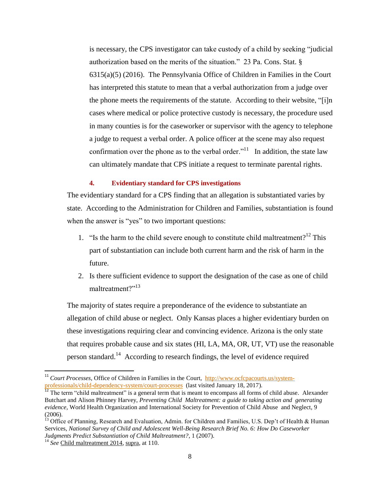is necessary, the CPS investigator can take custody of a child by seeking "judicial authorization based on the merits of the situation." 23 Pa. Cons. Stat. § 6315(a)(5) (2016). The Pennsylvania Office of Children in Families in the Court has interpreted this statute to mean that a verbal authorization from a judge over the phone meets the requirements of the statute. According to their website, "[i]n cases where medical or police protective custody is necessary, the procedure used in many counties is for the caseworker or supervisor with the agency to telephone a judge to request a verbal order. A police officer at the scene may also request confirmation over the phone as to the verbal order.<sup> $11$ </sup> In addition, the state law can ultimately mandate that CPS initiate a request to terminate parental rights.

#### **4. Evidentiary standard for CPS investigations**

<span id="page-9-0"></span>The evidentiary standard for a CPS finding that an allegation is substantiated varies by state. According to the Administration for Children and Families, substantiation is found when the answer is "yes" to two important questions:

- 1. "Is the harm to the child severe enough to constitute child maltreatment?<sup>12</sup> This part of substantiation can include both current harm and the risk of harm in the future.
- 2. Is there sufficient evidence to support the designation of the case as one of child maltreatment?"<sup>13</sup>

The majority of states require a preponderance of the evidence to substantiate an allegation of child abuse or neglect. Only Kansas places a higher evidentiary burden on these investigations requiring clear and convincing evidence. Arizona is the only state that requires probable cause and six states (HI, LA, MA, OR, UT, VT) use the reasonable person standard.<sup>14</sup> According to research findings, the level of evidence required

<sup>&</sup>lt;sup>11</sup> *Court Processes*, Office of Children in Families in the Court, [http://www.ocfcpacourts.us/system](http://www.ocfcpacourts.us/system-professionals/child-dependency-system/court-processes)[professionals/child-dependency-system/court-processes](http://www.ocfcpacourts.us/system-professionals/child-dependency-system/court-processes) (last visited January 18, 2017).

 $12$  The term "child maltreatment" is a general term that is meant to encompass all forms of child abuse. Alexander Butchart and Alison Phinney Harvey, *Preventing Child Maltreatment: a guide to taking action and generating evidence*, World Health Organization and International Society for Prevention of Child Abuse and Neglect, 9 (2006).

<sup>&</sup>lt;sup>13</sup> Office of Planning, Research and Evaluation, Admin. for Children and Families, U.S. Dep't of Health & Human Services, *National Survey of Child and Adolescent Well-Being Research Brief No. 6: How Do Caseworker Judgments Predict Substantiation of Child Maltreatment?*, 1 (2007).

<sup>14</sup> *See* Child maltreatment 2014, supra, at 110.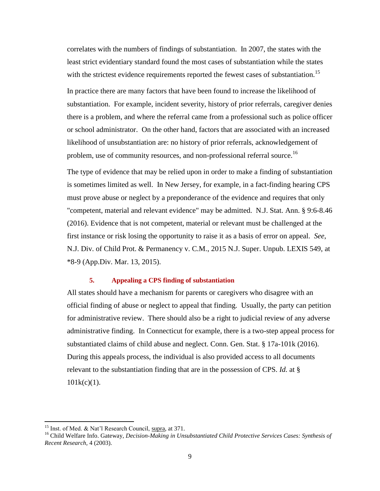correlates with the numbers of findings of substantiation. In 2007, the states with the least strict evidentiary standard found the most cases of substantiation while the states with the strictest evidence requirements reported the fewest cases of substantiation.<sup>15</sup>

In practice there are many factors that have been found to increase the likelihood of substantiation. For example, incident severity, history of prior referrals, caregiver denies there is a problem, and where the referral came from a professional such as police officer or school administrator. On the other hand, factors that are associated with an increased likelihood of unsubstantiation are: no history of prior referrals, acknowledgement of problem, use of community resources, and non-professional referral source.<sup>16</sup>

The type of evidence that may be relied upon in order to make a finding of substantiation is sometimes limited as well. In New Jersey, for example, in a fact-finding hearing CPS must prove abuse or neglect by a preponderance of the evidence and requires that only "competent, material and relevant evidence" may be admitted. N.J. Stat. Ann. § 9:6-8.46 (2016). Evidence that is not competent, material or relevant must be challenged at the first instance or risk losing the opportunity to raise it as a basis of error on appeal. *See*, N.J. Div. of Child Prot. & Permanency v. C.M., 2015 N.J. Super. Unpub. LEXIS 549, at \*8-9 (App.Div. Mar. 13, 2015).

#### **5. Appealing a CPS finding of substantiation**

<span id="page-10-0"></span>All states should have a mechanism for parents or caregivers who disagree with an official finding of abuse or neglect to appeal that finding. Usually, the party can petition for administrative review. There should also be a right to judicial review of any adverse administrative finding. In Connecticut for example, there is a two-step appeal process for substantiated claims of child abuse and neglect. Conn. Gen. Stat. § 17a-101k (2016). During this appeals process, the individual is also provided access to all documents relevant to the substantiation finding that are in the possession of CPS. *Id.* at §  $101k(c)(1)$ .

<sup>&</sup>lt;sup>15</sup> Inst. of Med. & Nat'l Research Council, supra, at 371.

<sup>&</sup>lt;sup>16</sup> Child Welfare Info. Gateway, *Decision-Making in Unsubstantiated Child Protective Services Cases: Synthesis of Recent Research,* 4 (2003).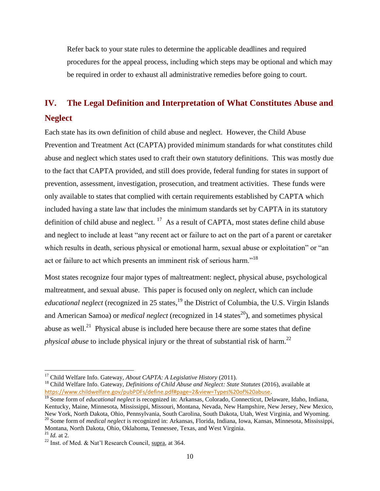Refer back to your state rules to determine the applicable deadlines and required procedures for the appeal process, including which steps may be optional and which may be required in order to exhaust all administrative remedies before going to court.

# <span id="page-11-0"></span>**IV. The Legal Definition and Interpretation of What Constitutes Abuse and Neglect**

Each state has its own definition of child abuse and neglect. However, the Child Abuse Prevention and Treatment Act (CAPTA) provided minimum standards for what constitutes child abuse and neglect which states used to craft their own statutory definitions. This was mostly due to the fact that CAPTA provided, and still does provide, federal funding for states in support of prevention, assessment, investigation, prosecution, and treatment activities. These funds were only available to states that complied with certain requirements established by CAPTA which included having a state law that includes the minimum standards set by CAPTA in its statutory definition of child abuse and neglect.  $17$  As a result of CAPTA, most states define child abuse and neglect to include at least "any recent act or failure to act on the part of a parent or caretaker which results in death, serious physical or emotional harm, sexual abuse or exploitation" or "an act or failure to act which presents an imminent risk of serious harm."<sup>18</sup>

Most states recognize four major types of maltreatment: neglect, physical abuse, psychological maltreatment, and sexual abuse. This paper is focused only on *neglect*, which can include educational neglect (recognized in 25 states,<sup>19</sup> the District of Columbia, the U.S. Virgin Islands and American Samoa) or *medical neglect* (recognized in 14 states <sup>20</sup>), and sometimes physical abuse as well.<sup>21</sup> Physical abuse is included here because there are some states that define *physical abuse* to include physical injury or the threat of substantial risk of harm.<sup>22</sup>

<sup>17</sup> Child Welfare Info. Gateway, *About CAPTA: A Legislative History* (2011).

<sup>18</sup> Child Welfare Info. Gateway, *Definitions of Child Abuse and Neglect: State Statutes* (2016), available at [https://www.childwelfare.gov/pubPDFs/define.pdf#page=2&view=Types%20of%20abuse.](https://www.childwelfare.gov/pubPDFs/define.pdf#page=2&view=Types%20of%20abuse)

<sup>19</sup> Some form of *educational neglect* is recognized in: Arkansas, Colorado, Connecticut, Delaware, Idaho, Indiana, Kentucky, Maine, Minnesota, Mississippi, Missouri, Montana, Nevada, New Hampshire, New Jersey, New Mexico, New York, North Dakota, Ohio, Pennsylvania, South Carolina, South Dakota, Utah, West Virginia, and Wyoming. <sup>20</sup> Some form of *medical neglect* is recognized in: Arkansas, Florida, Indiana, Iowa, Kansas, Minnesota, Mississippi, Montana, North Dakota, Ohio, Oklahoma, Tennessee, Texas, and West Virginia.

<sup>21</sup> *Id.* at 2.

<sup>&</sup>lt;sup>22</sup> Inst. of Med. & Nat'l Research Council, supra, at 364.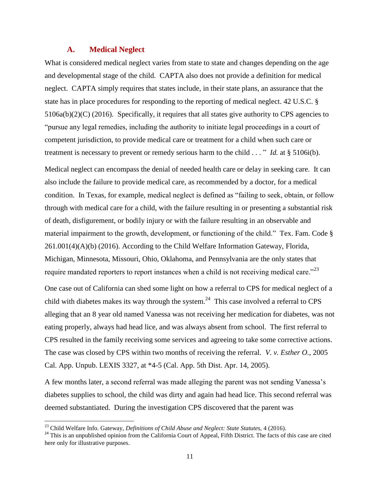#### **A. Medical Neglect**

<span id="page-12-0"></span>What is considered medical neglect varies from state to state and changes depending on the age and developmental stage of the child. CAPTA also does not provide a definition for medical neglect. CAPTA simply requires that states include, in their state plans, an assurance that the state has in place procedures for responding to the reporting of medical neglect. 42 U.S.C. §  $5106a(b)(2)(C)$  (2016). Specifically, it requires that all states give authority to CPS agencies to "pursue any legal remedies, including the authority to initiate legal proceedings in a court of competent jurisdiction, to provide medical care or treatment for a child when such care or treatment is necessary to prevent or remedy serious harm to the child . . . " *Id.* at § 5106i(b).

Medical neglect can encompass the denial of needed health care or delay in seeking care. It can also include the failure to provide medical care, as recommended by a doctor, for a medical condition. In Texas, for example, medical neglect is defined as "failing to seek, obtain, or follow through with medical care for a child, with the failure resulting in or presenting a substantial risk of death, disfigurement, or bodily injury or with the failure resulting in an observable and material impairment to the growth, development, or functioning of the child." Tex. Fam. Code § 261.001(4)(A)(b) (2016). According to the Child Welfare Information Gateway, Florida, Michigan, Minnesota, Missouri, Ohio, Oklahoma, and Pennsylvania are the only states that require mandated reporters to report instances when a child is not receiving medical care." $^{23}$ 

One case out of California can shed some light on how a referral to CPS for medical neglect of a child with diabetes makes its way through the system.<sup>24</sup> This case involved a referral to CPS alleging that an 8 year old named Vanessa was not receiving her medication for diabetes, was not eating properly, always had head lice, and was always absent from school. The first referral to CPS resulted in the family receiving some services and agreeing to take some corrective actions. The case was closed by CPS within two months of receiving the referral. *V. v. Esther O.*, 2005 Cal. App. Unpub. LEXIS 3327, at \*4-5 (Cal. App. 5th Dist. Apr. 14, 2005).

A few months later, a second referral was made alleging the parent was not sending Vanessa's diabetes supplies to school, the child was dirty and again had head lice. This second referral was deemed substantiated. During the investigation CPS discovered that the parent was

<sup>23</sup> Child Welfare Info. Gateway, *Definitions of Child Abuse and Neglect: State Statutes,* 4 (2016).

<sup>&</sup>lt;sup>24</sup> This is an unpublished opinion from the California Court of Appeal, Fifth District. The facts of this case are cited here only for illustrative purposes.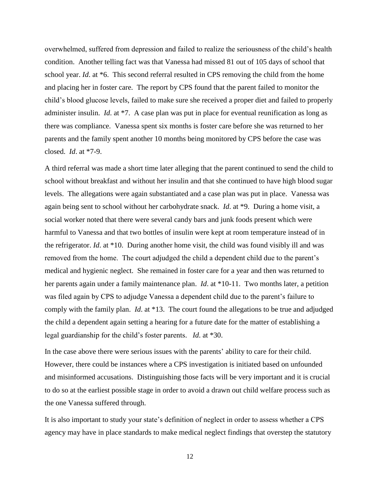overwhelmed, suffered from depression and failed to realize the seriousness of the child's health condition. Another telling fact was that Vanessa had missed 81 out of 105 days of school that school year. *Id.* at \*6. This second referral resulted in CPS removing the child from the home and placing her in foster care. The report by CPS found that the parent failed to monitor the child's blood glucose levels, failed to make sure she received a proper diet and failed to properly administer insulin. *Id*. at \*7. A case plan was put in place for eventual reunification as long as there was compliance. Vanessa spent six months is foster care before she was returned to her parents and the family spent another 10 months being monitored by CPS before the case was closed. *Id*. at \*7-9.

A third referral was made a short time later alleging that the parent continued to send the child to school without breakfast and without her insulin and that she continued to have high blood sugar levels. The allegations were again substantiated and a case plan was put in place. Vanessa was again being sent to school without her carbohydrate snack. *Id*. at \*9. During a home visit, a social worker noted that there were several candy bars and junk foods present which were harmful to Vanessa and that two bottles of insulin were kept at room temperature instead of in the refrigerator. *Id*. at \*10. During another home visit, the child was found visibly ill and was removed from the home. The court adjudged the child a dependent child due to the parent's medical and hygienic neglect. She remained in foster care for a year and then was returned to her parents again under a family maintenance plan. *Id.* at \*10-11. Two months later, a petition was filed again by CPS to adjudge Vanessa a dependent child due to the parent's failure to comply with the family plan. *Id*. at \*13. The court found the allegations to be true and adjudged the child a dependent again setting a hearing for a future date for the matter of establishing a legal guardianship for the child's foster parents. *Id*. at \*30.

In the case above there were serious issues with the parents' ability to care for their child. However, there could be instances where a CPS investigation is initiated based on unfounded and misinformed accusations. Distinguishing those facts will be very important and it is crucial to do so at the earliest possible stage in order to avoid a drawn out child welfare process such as the one Vanessa suffered through.

It is also important to study your state's definition of neglect in order to assess whether a CPS agency may have in place standards to make medical neglect findings that overstep the statutory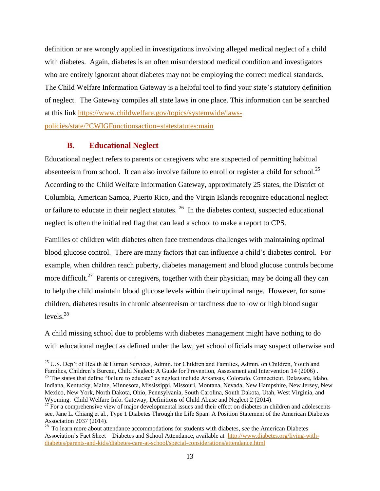definition or are wrongly applied in investigations involving alleged medical neglect of a child with diabetes. Again, diabetes is an often misunderstood medical condition and investigators who are entirely ignorant about diabetes may not be employing the correct medical standards. The Child Welfare Information Gateway is a helpful tool to find your state's statutory definition of neglect. The Gateway compiles all state laws in one place. This information can be searched at this link [https://www.childwelfare.gov/topics/systemwide/laws](https://www.childwelfare.gov/topics/systemwide/laws-policies/state/?CWIGFunctionsaction=statestatutes:main)[policies/state/?CWIGFunctionsaction=statestatutes:main](https://www.childwelfare.gov/topics/systemwide/laws-policies/state/?CWIGFunctionsaction=statestatutes:main)

#### **B. Educational Neglect**

l

<span id="page-14-0"></span>Educational neglect refers to parents or caregivers who are suspected of permitting habitual absenteeism from school. It can also involve failure to enroll or register a child for school.<sup>25</sup> According to the Child Welfare Information Gateway, approximately 25 states, the District of Columbia, American Samoa, Puerto Rico, and the Virgin Islands recognize educational neglect or failure to educate in their neglect statutes.  $^{26}$  In the diabetes context, suspected educational neglect is often the initial red flag that can lead a school to make a report to CPS.

Families of children with diabetes often face tremendous challenges with maintaining optimal blood glucose control. There are many factors that can influence a child's diabetes control. For example, when children reach puberty, diabetes management and blood glucose controls become more difficult.<sup>27</sup> Parents or caregivers, together with their physician, may be doing all they can to help the child maintain blood glucose levels within their optimal range. However, for some children, diabetes results in chronic absenteeism or tardiness due to low or high blood sugar levels. $^{28}$ 

A child missing school due to problems with diabetes management might have nothing to do with educational neglect as defined under the law, yet school officials may suspect otherwise and

<sup>&</sup>lt;sup>25</sup> U.S. Dep't of Health & Human Services, Admin. for Children and Families, Admin. on Children, Youth and Families, Children's Bureau, Child Neglect: A Guide for Prevention, Assessment and Intervention 14 (2006) . <sup>26</sup> The states that define "failure to educate" as neglect include Arkansas, Colorado, Connecticut, Delaware, Idaho, Indiana, Kentucky, Maine, Minnesota, Mississippi, Missouri, Montana, Nevada, New Hampshire, New Jersey, New Mexico, New York, North Dakota, Ohio, Pennsylvania, South Carolina, South Dakota, Utah, West Virginia, and Wyoming.Child Welfare Info. Gateway, Definitions of Child Abuse and Neglect 2 (2014).

 $27$  For a comprehensive view of major developmental issues and their effect on diabetes in children and adolescents see, Jane L. Chiang et al., Type 1 Diabetes Through the Life Span: A Position Statement of the American Diabetes Association 2037 (2014).

<sup>&</sup>lt;sup>28</sup> To learn more about attendance accommodations for students with diabetes, *see* the American Diabetes Association's Fact Sheet – Diabetes and School Attendance, available at [http://www.diabetes.org/living-with](http://www.diabetes.org/living-with-diabetes/parents-and-kids/diabetes-care-at-school/special-considerations/attendance.html)[diabetes/parents-and-kids/diabetes-care-at-school/special-considerations/attendance.html](http://www.diabetes.org/living-with-diabetes/parents-and-kids/diabetes-care-at-school/special-considerations/attendance.html)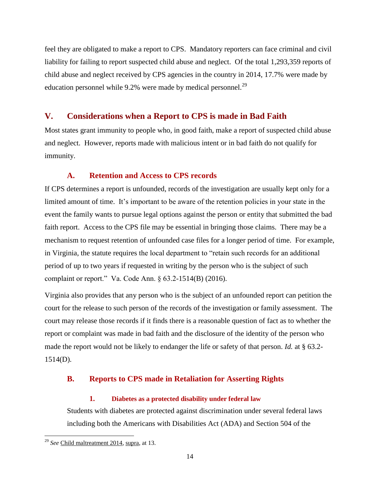feel they are obligated to make a report to CPS. Mandatory reporters can face criminal and civil liability for failing to report suspected child abuse and neglect. Of the total 1,293,359 reports of child abuse and neglect received by CPS agencies in the country in 2014, 17.7% were made by education personnel while 9.2% were made by medical personnel.<sup>29</sup>

# <span id="page-15-0"></span>**V. Considerations when a Report to CPS is made in Bad Faith**

Most states grant immunity to people who, in good faith, make a report of suspected child abuse and neglect. However, reports made with malicious intent or in bad faith do not qualify for immunity.

# **A. Retention and Access to CPS records**

<span id="page-15-1"></span>If CPS determines a report is unfounded, records of the investigation are usually kept only for a limited amount of time. It's important to be aware of the retention policies in your state in the event the family wants to pursue legal options against the person or entity that submitted the bad faith report. Access to the CPS file may be essential in bringing those claims. There may be a mechanism to request retention of unfounded case files for a longer period of time. For example, in Virginia, the statute requires the local department to "retain such records for an additional period of up to two years if requested in writing by the person who is the subject of such complaint or report." Va. Code Ann. § 63.2-1514(B) (2016).

Virginia also provides that any person who is the subject of an unfounded report can petition the court for the release to such person of the records of the investigation or family assessment. The court may release those records if it finds there is a reasonable question of fact as to whether the report or complaint was made in bad faith and the disclosure of the identity of the person who made the report would not be likely to endanger the life or safety of that person. *Id.* at § 63.2- 1514(D).

# <span id="page-15-3"></span><span id="page-15-2"></span>**B. Reports to CPS made in Retaliation for Asserting Rights**

## **1. Diabetes as a protected disability under federal law**

Students with diabetes are protected against discrimination under several federal laws including both the Americans with Disabilities Act (ADA) and Section 504 of the

 $\overline{\phantom{a}}$ <sup>29</sup> *See* Child maltreatment 2014, supra, at 13.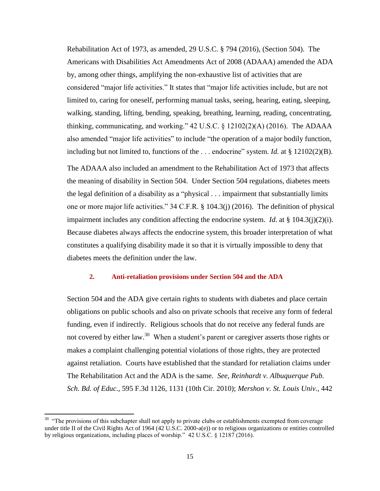Rehabilitation Act of 1973, as amended, 29 U.S.C. § 794 (2016), (Section 504). The Americans with Disabilities Act Amendments Act of 2008 (ADAAA) amended the ADA by, among other things, amplifying the non-exhaustive list of activities that are considered "major life activities." It states that "major life activities include, but are not limited to, caring for oneself, performing manual tasks, seeing, hearing, eating, sleeping, walking, standing, lifting, bending, speaking, breathing, learning, reading, concentrating, thinking, communicating, and working." 42 U.S.C. § 12102(2)(A) (2016). The ADAAA also amended "major life activities" to include "the operation of a major bodily function, including but not limited to, functions of the . . . endocrine" system. *Id.* at § 12102(2)(B).

The ADAAA also included an amendment to the Rehabilitation Act of 1973 that affects the meaning of disability in Section 504. Under Section 504 regulations, diabetes meets the legal definition of a disability as a "physical . . . impairment that substantially limits one or more major life activities." 34 C.F.R. § 104.3(j) (2016). The definition of physical impairment includes any condition affecting the endocrine system. *Id.* at § 104.3(j)(2)(i). Because diabetes always affects the endocrine system, this broader interpretation of what constitutes a qualifying disability made it so that it is virtually impossible to deny that diabetes meets the definition under the law.

#### **2. Anti-retaliation provisions under Section 504 and the ADA**

<span id="page-16-0"></span>Section 504 and the ADA give certain rights to students with diabetes and place certain obligations on public schools and also on private schools that receive any form of federal funding, even if indirectly. Religious schools that do not receive any federal funds are not covered by either law.<sup>30</sup> When a student's parent or caregiver asserts those rights or makes a complaint challenging potential violations of those rights, they are protected against retaliation. Courts have established that the standard for retaliation claims under The Rehabilitation Act and the ADA is the same. *See*, *Reinhardt v. Albuquerque Pub. Sch. Bd. of Educ*., 595 F.3d 1126, 1131 (10th Cir. 2010); *Mershon v. St. Louis Univ.*, 442

 $30$  "The provisions of this subchapter shall not apply to private clubs or establishments exempted from coverage under title II of the Civil Rights Act of 1964 (42 U.S.C. 2000-a(e)) or to religious organizations or entities controlled by religious organizations, including places of worship." 42 U.S.C. § 12187 (2016).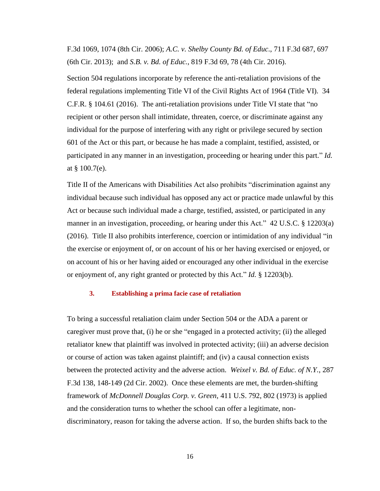F.3d 1069, 1074 (8th Cir. 2006); *A.C. v. Shelby County Bd. of Educ*., 711 F.3d 687, 697 (6th Cir. 2013); and *S.B. v. Bd. of Educ.*, 819 F.3d 69, 78 (4th Cir. 2016).

Section 504 regulations incorporate by reference the anti-retaliation provisions of the federal regulations implementing Title VI of the Civil Rights Act of 1964 (Title VI). 34 C.F.R. § 104.61 (2016). The anti-retaliation provisions under Title VI state that "no recipient or other person shall intimidate, threaten, coerce, or discriminate against any individual for the purpose of interfering with any right or privilege secured by section 601 of the Act or this part, or because he has made a complaint, testified, assisted, or participated in any manner in an investigation, proceeding or hearing under this part." *Id.*  at § 100.7(e).

Title II of the Americans with Disabilities Act also prohibits "discrimination against any individual because such individual has opposed any act or practice made unlawful by this Act or because such individual made a charge, testified, assisted, or participated in any manner in an investigation, proceeding, or hearing under this Act." 42 U.S.C. § 12203(a) (2016). Title II also prohibits interference, coercion or intimidation of any individual "in the exercise or enjoyment of, or on account of his or her having exercised or enjoyed, or on account of his or her having aided or encouraged any other individual in the exercise or enjoyment of, any right granted or protected by this Act." *Id.* § 12203(b).

#### **3. Establishing a prima facie case of retaliation**

<span id="page-17-0"></span>To bring a successful retaliation claim under Section 504 or the ADA a parent or caregiver must prove that, (i) he or she "engaged in a protected activity; (ii) the alleged retaliator knew that plaintiff was involved in protected activity; (iii) an adverse decision or course of action was taken against plaintiff; and (iv) a causal connection exists between the protected activity and the adverse action. *Weixel v. Bd. of Educ. of N.Y.*, 287 F.3d 138, 148-149 (2d Cir. 2002). Once these elements are met, the burden-shifting framework of *McDonnell Douglas Corp. v. Green*, 411 U.S. 792, 802 (1973) is applied and the consideration turns to whether the school can offer a legitimate, nondiscriminatory, reason for taking the adverse action. If so, the burden shifts back to the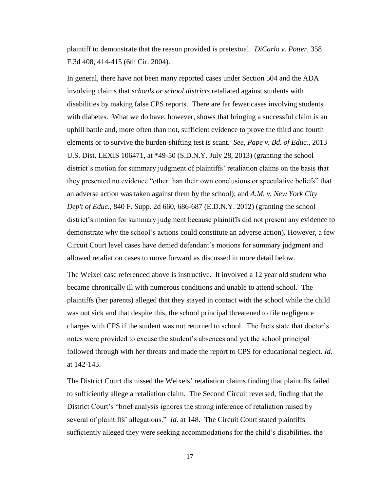plaintiff to demonstrate that the reason provided is pretextual. *DiCarlo v. Potter*, 358 F.3d 408, 414-415 (6th Cir. 2004).

In general, there have not been many reported cases under Section 504 and the ADA involving claims that *schools or school districts* retaliated against students with disabilities by making false CPS reports. There are far fewer cases involving students with diabetes. What we do have, however, shows that bringing a successful claim is an uphill battle and, more often than not, sufficient evidence to prove the third and fourth elements or to survive the burden-shifting test is scant. *See, Pape v. Bd. of Educ.,* 2013 U.S. Dist. LEXIS 106471, at \*49-50 (S.D.N.Y. July 28, 2013) (granting the school district's motion for summary judgment of plaintiffs' retaliation claims on the basis that they presented no evidence "other than their own conclusions or speculative beliefs" that an adverse action was taken against them by the school); and *A.M. v. New York City Dep't of Educ.*, 840 F. Supp. 2d 660, 686-687 (E.D.N.Y. 2012) (granting the school district's motion for summary judgment because plaintiffs did not present any evidence to demonstrate why the school's actions could constitute an adverse action). However, a few Circuit Court level cases have denied defendant's motions for summary judgment and allowed retaliation cases to move forward as discussed in more detail below.

The Weixel case referenced above is instructive. It involved a 12 year old student who became chronically ill with numerous conditions and unable to attend school. The plaintiffs (her parents) alleged that they stayed in contact with the school while the child was out sick and that despite this, the school principal threatened to file negligence charges with CPS if the student was not returned to school. The facts state that doctor's notes were provided to excuse the student's absences and yet the school principal followed through with her threats and made the report to CPS for educational neglect. *Id.* at 142-143.

The District Court dismissed the Weixels' retaliation claims finding that plaintiffs failed to sufficiently allege a retaliation claim. The Second Circuit reversed, finding that the District Court's "brief analysis ignores the strong inference of retaliation raised by several of plaintiffs' allegations." *Id.* at 148. The Circuit Court stated plaintiffs sufficiently alleged they were seeking accommodations for the child's disabilities, the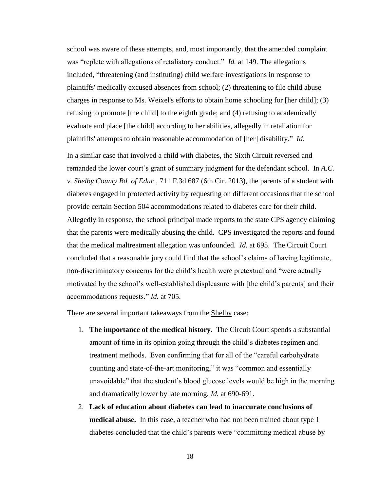school was aware of these attempts, and, most importantly, that the amended complaint was "replete with allegations of retaliatory conduct." *Id.* at 149. The allegations included, "threatening (and instituting) child welfare investigations in response to plaintiffs' medically excused absences from school; (2) threatening to file child abuse charges in response to Ms. Weixel's efforts to obtain home schooling for [her child]; (3) refusing to promote [the child] to the eighth grade; and (4) refusing to academically evaluate and place [the child] according to her abilities, allegedly in retaliation for plaintiffs' attempts to obtain reasonable accommodation of [her] disability." *Id.*

In a similar case that involved a child with diabetes, the Sixth Circuit reversed and remanded the lower court's grant of summary judgment for the defendant school. In *A.C. v. Shelby County Bd. of Educ*., 711 F.3d 687 (6th Cir. 2013), the parents of a student with diabetes engaged in protected activity by requesting on different occasions that the school provide certain Section 504 accommodations related to diabetes care for their child. Allegedly in response, the school principal made reports to the state CPS agency claiming that the parents were medically abusing the child. CPS investigated the reports and found that the medical maltreatment allegation was unfounded. *Id.* at 695. The Circuit Court concluded that a reasonable jury could find that the school's claims of having legitimate, non-discriminatory concerns for the child's health were pretextual and "were actually motivated by the school's well-established displeasure with [the child's parents] and their accommodations requests." *Id.* at 705.

There are several important takeaways from the Shelby case:

- 1. **The importance of the medical history.** The Circuit Court spends a substantial amount of time in its opinion going through the child's diabetes regimen and treatment methods. Even confirming that for all of the "careful carbohydrate counting and state-of-the-art monitoring," it was "common and essentially unavoidable" that the student's blood glucose levels would be high in the morning and dramatically lower by late morning. *Id.* at 690-691.
- 2. **Lack of education about diabetes can lead to inaccurate conclusions of medical abuse.** In this case, a teacher who had not been trained about type 1 diabetes concluded that the child's parents were "committing medical abuse by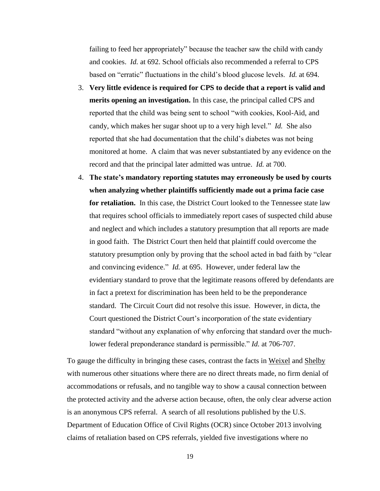failing to feed her appropriately" because the teacher saw the child with candy and cookies. *Id.* at 692. School officials also recommended a referral to CPS based on "erratic" fluctuations in the child's blood glucose levels. *Id.* at 694.

- 3. **Very little evidence is required for CPS to decide that a report is valid and merits opening an investigation.** In this case, the principal called CPS and reported that the child was being sent to school "with cookies, Kool-Aid, and candy, which makes her sugar shoot up to a very high level." *Id.* She also reported that she had documentation that the child's diabetes was not being monitored at home. A claim that was never substantiated by any evidence on the record and that the principal later admitted was untrue. *Id.* at 700.
- 4. **The state's mandatory reporting statutes may erroneously be used by courts when analyzing whether plaintiffs sufficiently made out a prima facie case for retaliation.** In this case, the District Court looked to the Tennessee state law that requires school officials to immediately report cases of suspected child abuse and neglect and which includes a statutory presumption that all reports are made in good faith. The District Court then held that plaintiff could overcome the statutory presumption only by proving that the school acted in bad faith by "clear and convincing evidence." *Id.* at 695. However, under federal law the evidentiary standard to prove that the legitimate reasons offered by defendants are in fact a pretext for discrimination has been held to be the preponderance standard. The Circuit Court did not resolve this issue. However, in dicta, the Court questioned the District Court's incorporation of the state evidentiary standard "without any explanation of why enforcing that standard over the muchlower federal preponderance standard is permissible." *Id.* at 706-707.

To gauge the difficulty in bringing these cases, contrast the facts in Weixel and Shelby with numerous other situations where there are no direct threats made, no firm denial of accommodations or refusals, and no tangible way to show a causal connection between the protected activity and the adverse action because, often, the only clear adverse action is an anonymous CPS referral. A search of all resolutions published by the U.S. Department of Education Office of Civil Rights (OCR) since October 2013 involving claims of retaliation based on CPS referrals, yielded five investigations where no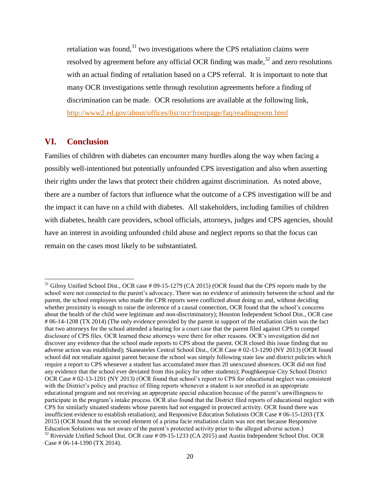retaliation was found, $31$  two investigations where the CPS retaliation claims were resolved by agreement before any official OCR finding was made, $32$  and zero resolutions with an actual finding of retaliation based on a CPS referral. It is important to note that many OCR investigations settle through resolution agreements before a finding of discrimination can be made. OCR resolutions are available at the following link, <http://www2.ed.gov/about/offices/list/ocr/frontpage/faq/readingroom.html>

# <span id="page-21-0"></span>**VI. Conclusion**

 $\overline{\phantom{a}}$ 

Families of children with diabetes can encounter many hurdles along the way when facing a possibly well-intentioned but potentially unfounded CPS investigation and also when asserting their rights under the laws that protect their children against discrimination. As noted above, there are a number of factors that influence what the outcome of a CPS investigation will be and the impact it can have on a child with diabetes. All stakeholders, including families of children with diabetes, health care providers, school officials, attorneys, judges and CPS agencies, should have an interest in avoiding unfounded child abuse and neglect reports so that the focus can remain on the cases most likely to be substantiated.

<sup>&</sup>lt;sup>31</sup> Gilroy Unified School Dist., OCR case # 09-15-1279 (CA 2015) (OCR found that the CPS reports made by the school were not connected to the parent's advocacy. There was no evidence of animosity between the school and the parent, the school employees who made the CPR reports were conflicted about doing so and, without deciding whether proximity is enough to raise the inference of a causal connection, OCR found that the school's concerns about the health of the child were legitimate and non-discriminatory); Houston Independent School Dist., OCR case # 06-14-1208 (TX 2014) (The only evidence provided by the parent in support of the retaliation claim was the fact that two attorneys for the school attended a hearing for a court case that the parent filed against CPS to compel disclosure of CPS files. OCR learned these attorneys were there for other reasons. OCR's investigation did not discover any evidence that the school made reports to CPS about the parent. OCR closed this issue finding that no adverse action was established); Skaneateles Central School Dist., OCR Case # 02-13-1290 (NY 2013) (OCR found school did not retaliate against parent because the school was simply following state law and district policies which require a report to CPS whenever a student has accumulated more than 20 unexcused absences. OCR did not find any evidence that the school ever deviated from this policy for other students); Poughkeepsie City School District OCR Case # 02-13-1201 (NY 2013) (OCR found that school's report to CPS for educational neglect was consistent with the District's policy and practice of filing reports whenever a student is not enrolled in an appropriate educational program and not receiving an appropriate special education because of the parent's unwillingness to participate in the program's intake process. OCR also found that the District filed reports of educational neglect with CPS for similarly situated students whose parents had not engaged in protected activity. OCR found there was insufficient evidence to establish retaliation); and Responsive Education Solutions OCR Case # 06-15-1203 (TX 2015) (OCR found that the second element of a prima facie retaliation claim was not met because Responsive Education Solutions was not aware of the parent's protected activity prior to the alleged adverse action.) <sup>32</sup> Riverside Unified School Dist. OCR case # 09-15-1233 (CA 2015) and Austin Independent School Dist. OCR

Case # 06-14-1390 (TX 2014).